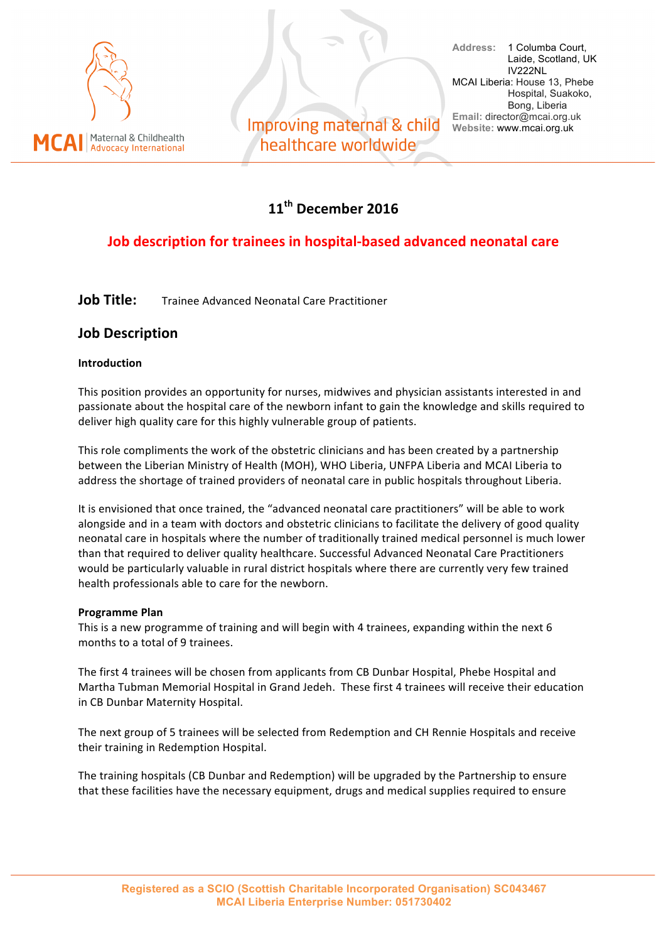

Improving maternal & child healthcare worldwide

**Address:** 1 Columba Court, Laide, Scotland, UK IV222NL MCAI Liberia: House 13, Phebe Hospital, Suakoko, Bong, Liberia **Email:** director@mcai.org.uk **Website:** www.mcai.org.uk

## **11th December 2016**

### **Job description for trainees in hospital-based advanced neonatal care**

**Job Title:** Trainee Advanced Neonatal Care Practitioner

#### **Job Description**

#### **Introduction**

This position provides an opportunity for nurses, midwives and physician assistants interested in and passionate about the hospital care of the newborn infant to gain the knowledge and skills required to deliver high quality care for this highly vulnerable group of patients.

This role compliments the work of the obstetric clinicians and has been created by a partnership between the Liberian Ministry of Health (MOH), WHO Liberia, UNFPA Liberia and MCAI Liberia to address the shortage of trained providers of neonatal care in public hospitals throughout Liberia.

It is envisioned that once trained, the "advanced neonatal care practitioners" will be able to work alongside and in a team with doctors and obstetric clinicians to facilitate the delivery of good quality neonatal care in hospitals where the number of traditionally trained medical personnel is much lower than that required to deliver quality healthcare. Successful Advanced Neonatal Care Practitioners would be particularly valuable in rural district hospitals where there are currently very few trained health professionals able to care for the newborn.

#### **Programme Plan**

This is a new programme of training and will begin with 4 trainees, expanding within the next 6 months to a total of 9 trainees.

The first 4 trainees will be chosen from applicants from CB Dunbar Hospital, Phebe Hospital and Martha Tubman Memorial Hospital in Grand Jedeh. These first 4 trainees will receive their education in CB Dunbar Maternity Hospital.

The next group of 5 trainees will be selected from Redemption and CH Rennie Hospitals and receive their training in Redemption Hospital.

The training hospitals (CB Dunbar and Redemption) will be upgraded by the Partnership to ensure that these facilities have the necessary equipment, drugs and medical supplies required to ensure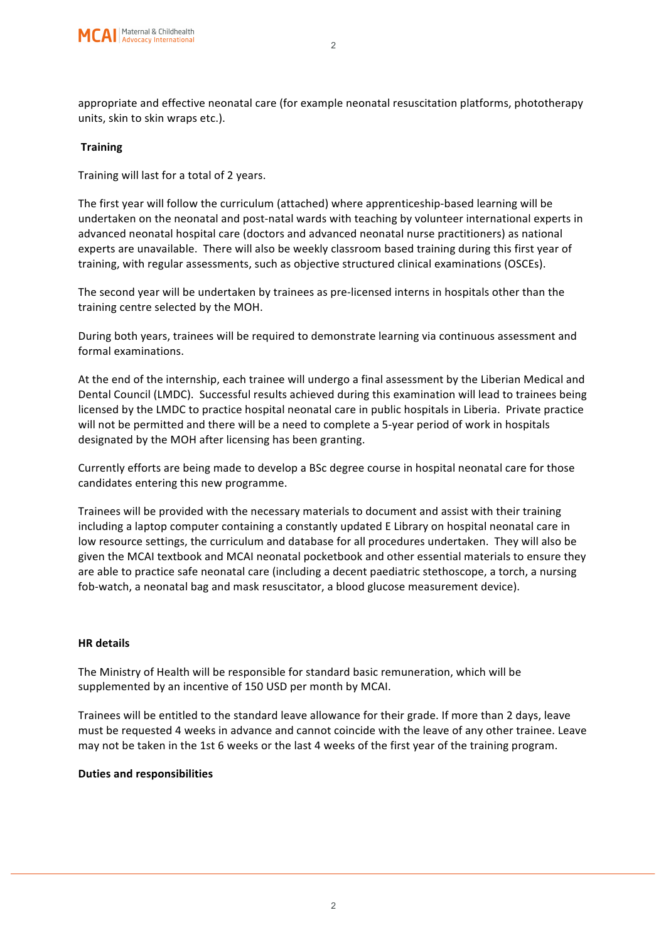

appropriate and effective neonatal care (for example neonatal resuscitation platforms, phototherapy units, skin to skin wraps etc.).

#### **Training**

Training will last for a total of 2 years.

The first year will follow the curriculum (attached) where apprenticeship-based learning will be undertaken on the neonatal and post-natal wards with teaching by volunteer international experts in advanced neonatal hospital care (doctors and advanced neonatal nurse practitioners) as national experts are unavailable. There will also be weekly classroom based training during this first year of training, with regular assessments, such as objective structured clinical examinations (OSCEs).

The second year will be undertaken by trainees as pre-licensed interns in hospitals other than the training centre selected by the MOH.

During both years, trainees will be required to demonstrate learning via continuous assessment and formal examinations.

At the end of the internship, each trainee will undergo a final assessment by the Liberian Medical and Dental Council (LMDC). Successful results achieved during this examination will lead to trainees being licensed by the LMDC to practice hospital neonatal care in public hospitals in Liberia. Private practice will not be permitted and there will be a need to complete a 5-year period of work in hospitals designated by the MOH after licensing has been granting.

Currently efforts are being made to develop a BSc degree course in hospital neonatal care for those candidates entering this new programme.

Trainees will be provided with the necessary materials to document and assist with their training including a laptop computer containing a constantly updated E Library on hospital neonatal care in low resource settings, the curriculum and database for all procedures undertaken. They will also be given the MCAI textbook and MCAI neonatal pocketbook and other essential materials to ensure they are able to practice safe neonatal care (including a decent paediatric stethoscope, a torch, a nursing fob-watch, a neonatal bag and mask resuscitator, a blood glucose measurement device).

#### **HR details**

The Ministry of Health will be responsible for standard basic remuneration, which will be supplemented by an incentive of 150 USD per month by MCAI.

Trainees will be entitled to the standard leave allowance for their grade. If more than 2 days, leave must be requested 4 weeks in advance and cannot coincide with the leave of any other trainee. Leave may not be taken in the 1st 6 weeks or the last 4 weeks of the first year of the training program.

#### **Duties and responsibilities**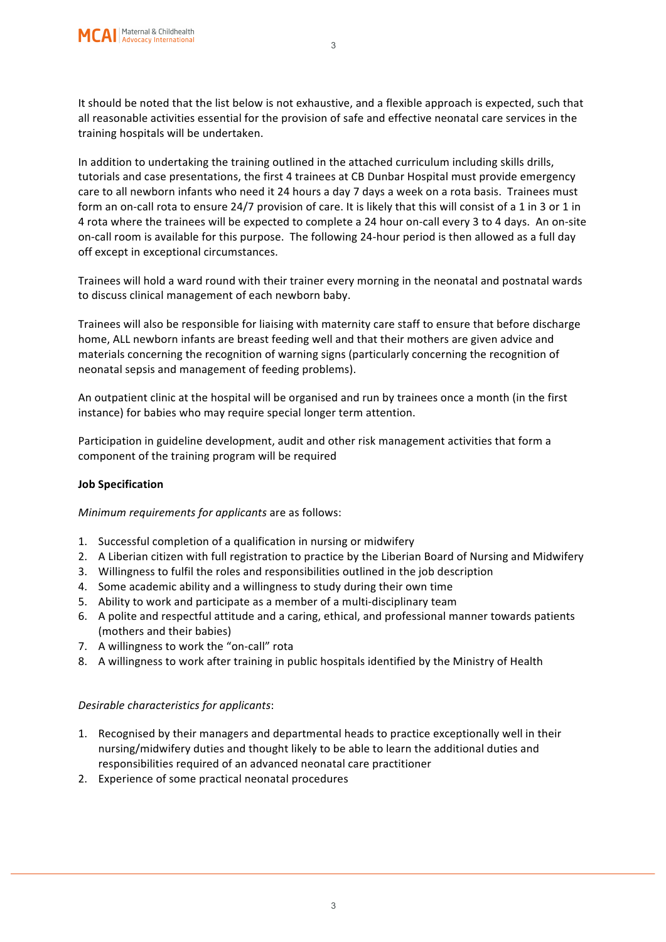It should be noted that the list below is not exhaustive, and a flexible approach is expected, such that all reasonable activities essential for the provision of safe and effective neonatal care services in the training hospitals will be undertaken.

3

In addition to undertaking the training outlined in the attached curriculum including skills drills, tutorials and case presentations, the first 4 trainees at CB Dunbar Hospital must provide emergency care to all newborn infants who need it 24 hours a day 7 days a week on a rota basis. Trainees must form an on-call rota to ensure 24/7 provision of care. It is likely that this will consist of a 1 in 3 or 1 in 4 rota where the trainees will be expected to complete a 24 hour on-call every 3 to 4 days. An on-site on-call room is available for this purpose. The following 24-hour period is then allowed as a full day off except in exceptional circumstances.

Trainees will hold a ward round with their trainer every morning in the neonatal and postnatal wards to discuss clinical management of each newborn baby.

Trainees will also be responsible for liaising with maternity care staff to ensure that before discharge home, ALL newborn infants are breast feeding well and that their mothers are given advice and materials concerning the recognition of warning signs (particularly concerning the recognition of neonatal sepsis and management of feeding problems).

An outpatient clinic at the hospital will be organised and run by trainees once a month (in the first instance) for babies who may require special longer term attention.

Participation in guideline development, audit and other risk management activities that form a component of the training program will be required

#### **Job Specification**

*Minimum requirements for applicants* are as follows:

- 1. Successful completion of a qualification in nursing or midwifery
- 2. A Liberian citizen with full registration to practice by the Liberian Board of Nursing and Midwifery
- 3. Willingness to fulfil the roles and responsibilities outlined in the job description
- 4. Some academic ability and a willingness to study during their own time
- 5. Ability to work and participate as a member of a multi-disciplinary team
- 6. A polite and respectful attitude and a caring, ethical, and professional manner towards patients (mothers and their babies)
- 7. A willingness to work the "on-call" rota
- 8. A willingness to work after training in public hospitals identified by the Ministry of Health

#### *Desirable characteristics for applicants*:

- 1. Recognised by their managers and departmental heads to practice exceptionally well in their nursing/midwifery duties and thought likely to be able to learn the additional duties and responsibilities required of an advanced neonatal care practitioner
- 2. Experience of some practical neonatal procedures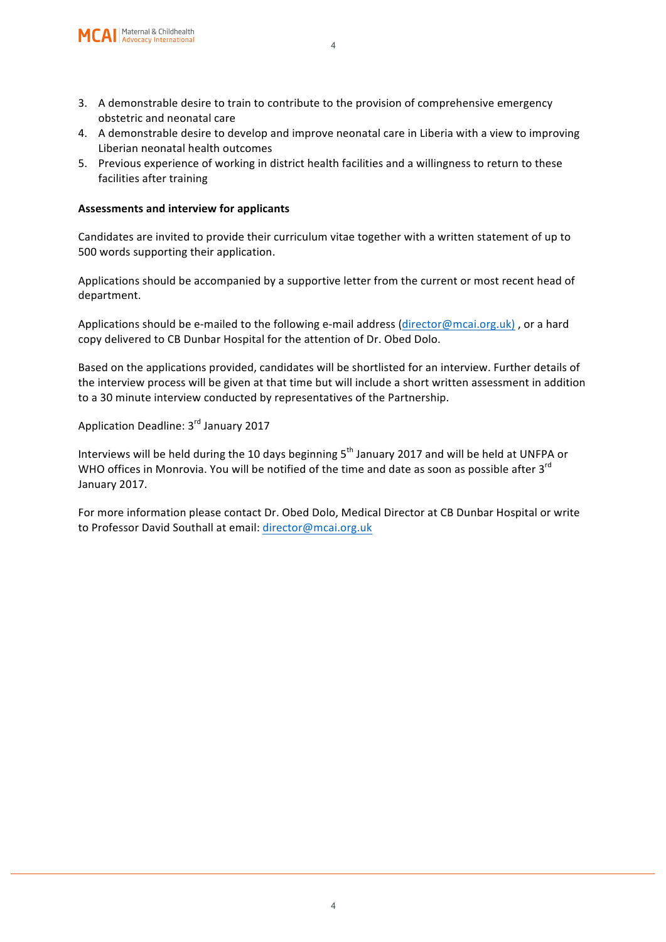- 3. A demonstrable desire to train to contribute to the provision of comprehensive emergency obstetric and neonatal care
- 4. A demonstrable desire to develop and improve neonatal care in Liberia with a view to improving Liberian neonatal health outcomes
- 5. Previous experience of working in district health facilities and a willingness to return to these facilities after training

#### **Assessments and interview for applicants**

Candidates are invited to provide their curriculum vitae together with a written statement of up to 500 words supporting their application.

Applications should be accompanied by a supportive letter from the current or most recent head of department. 

Applications should be e-mailed to the following e-mail address (director@mcai.org.uk), or a hard copy delivered to CB Dunbar Hospital for the attention of Dr. Obed Dolo.

Based on the applications provided, candidates will be shortlisted for an interview. Further details of the interview process will be given at that time but will include a short written assessment in addition to a 30 minute interview conducted by representatives of the Partnership.

Application Deadline: 3rd January 2017

Interviews will be held during the 10 days beginning  $5<sup>th</sup>$  January 2017 and will be held at UNFPA or WHO offices in Monrovia. You will be notified of the time and date as soon as possible after  $3<sup>rd</sup>$ January 2017.

For more information please contact Dr. Obed Dolo, Medical Director at CB Dunbar Hospital or write to Professor David Southall at email: director@mcai.org.uk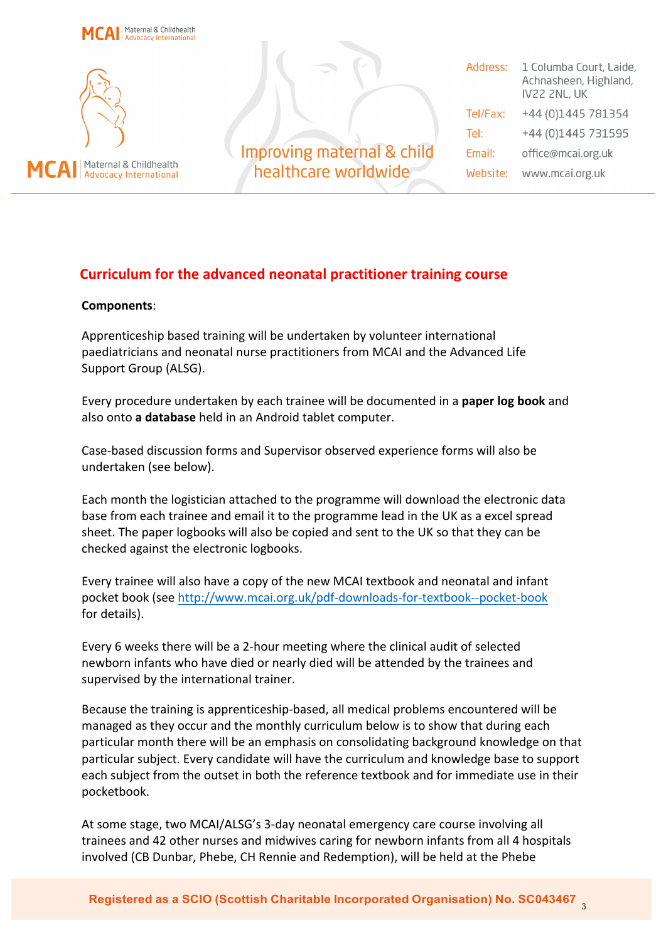

#### **Curriculum for the advanced neonatal practitioner training course**

#### **Components**:

Apprenticeship based training will be undertaken by volunteer international paediatricians and neonatal nurse practitioners from MCAI and the Advanced Life Support Group (ALSG).

Every procedure undertaken by each trainee will be documented in a **paper log book** and also onto **a database** held in an Android tablet computer.

Case-based discussion forms and Supervisor observed experience forms will also be undertaken (see below).

Each month the logistician attached to the programme will download the electronic data base from each trainee and email it to the programme lead in the UK as a excel spread sheet. The paper logbooks will also be copied and sent to the UK so that they can be checked against the electronic logbooks.

Every trainee will also have a copy of the new MCAI textbook and neonatal and infant pocket book (see http://www.mcai.org.uk/pdf-downloads-for-textbook--pocket-book for details).

Every 6 weeks there will be a 2-hour meeting where the clinical audit of selected newborn infants who have died or nearly died will be attended by the trainees and supervised by the international trainer.

Because the training is apprenticeship-based, all medical problems encountered will be managed as they occur and the monthly curriculum below is to show that during each particular month there will be an emphasis on consolidating background knowledge on that particular subject. Every candidate will have the curriculum and knowledge base to support each subject from the outset in both the reference textbook and for immediate use in their pocketbook.

At some stage, two MCAI/ALSG's 3-day neonatal emergency care course involving all trainees and 42 other nurses and midwives caring for newborn infants from all 4 hospitals involved (CB Dunbar, Phebe, CH Rennie and Redemption), will be held at the Phebe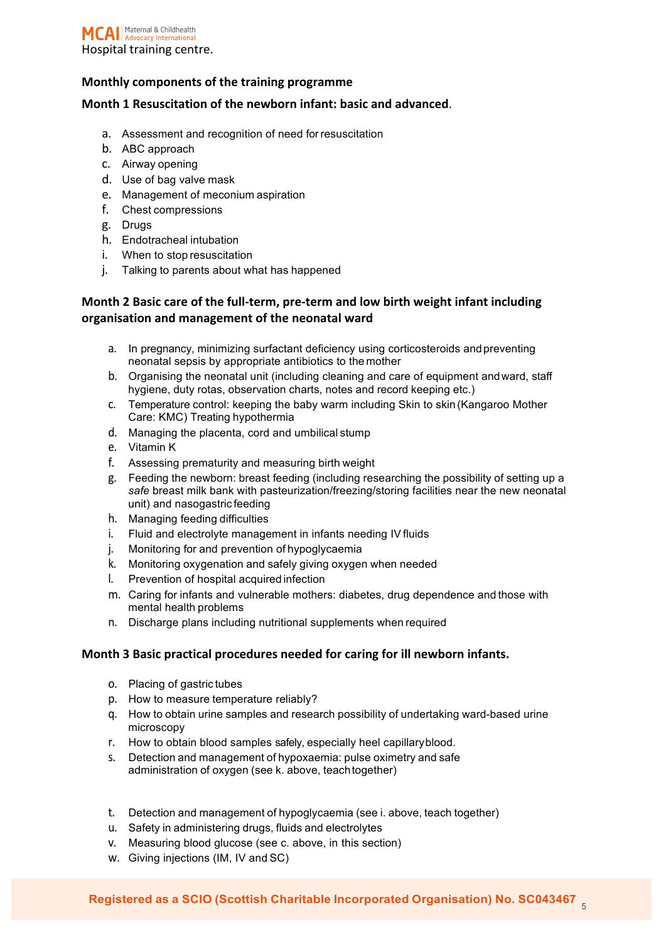#### **Monthly components of the training programme**

#### **Month 1 Resuscitation of the newborn infant: basic and advanced.**

- a. Assessment and recognition of need forresuscitation
- b. ABC approach
- c. Airway opening
- d. Use of bag valve mask
- e. Management of meconium aspiration
- f. Chest compressions
- g. Drugs
- h. Endotracheal intubation
- i. When to stop resuscitation
- j. Talking to parents about what has happened

#### **Month 2 Basic care of the full-term, pre-term and low birth weight infant including** organisation and management of the neonatal ward

- a. In pregnancy, minimizing surfactant deficiency using corticosteroids andpreventing neonatal sepsis by appropriate antibiotics to the mother
- b. Organising the neonatal unit (including cleaning and care of equipment andward, staff hygiene, duty rotas, observation charts, notes and record keeping etc.)
- c. Temperature control: keeping the baby warm including Skin to skin (Kangaroo Mother Care: KMC) Treating hypothermia
- d. Managing the placenta, cord and umbilical stump
- e. Vitamin K
- f. Assessing prematurity and measuring birth weight
- g. Feeding the newborn: breast feeding (including researching the possibility of setting up a safe breast milk bank with pasteurization/freezing/storing facilities near the new neonatal unit) and nasogastric feeding
- h. Managing feeding difficulties
- i. Fluid and electrolyte management in infants needing IV fluids
- j. Monitoring for and prevention of hypoglycaemia
- k. Monitoring oxygenation and safely giving oxygen when needed
- l. Prevention of hospital acquired infection
- m. Caring for infants and vulnerable mothers: diabetes, drug dependence and those with mental health problems
- n. Discharge plans including nutritional supplements when required

#### **Month 3 Basic practical procedures needed for caring for ill newborn infants.**

- o. Placing of gastric tubes
- p. How to measure temperature reliably?
- q. How to obtain urine samples and research possibility of undertaking ward-based urine microscopy
- r. How to obtain blood samples safely, especially heel capillaryblood.
- s. Detection and management of hypoxaemia: pulse oximetry and safe administration of oxygen (see k. above, teachtogether)
- t. Detection and management of hypoglycaemia (see i. above, teach together)
- u. Safety in administering drugs, fluids and electrolytes
- v. Measuring blood glucose (see c. above, in this section)
- w. Giving injections (IM, IV and SC)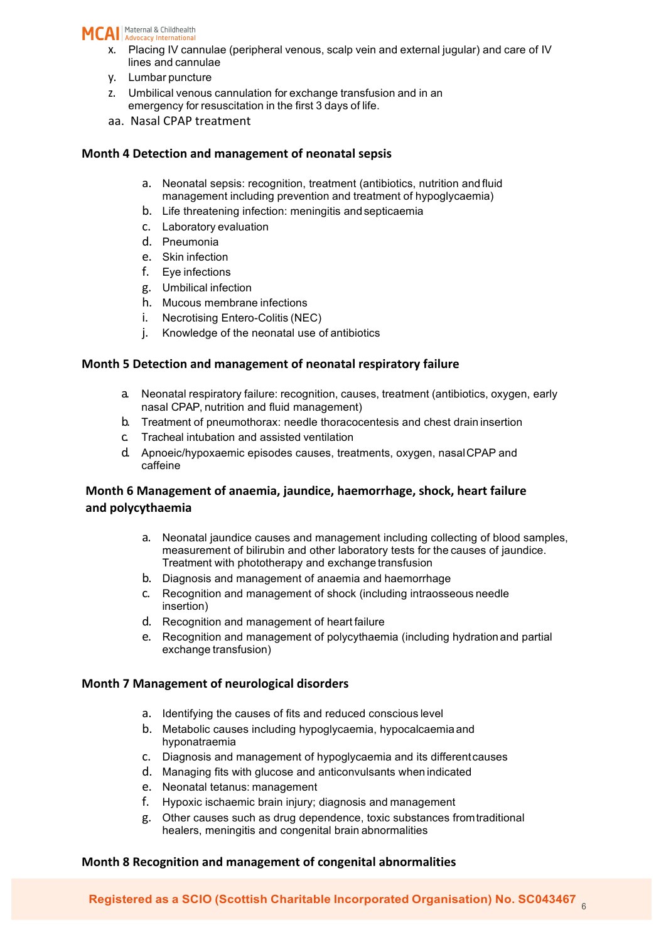

- x. Placing IV cannulae (peripheral venous, scalp vein and external jugular) and care of IV lines and cannulae
- y. Lumbar puncture
- z. Umbilical venous cannulation for exchange transfusion and in an emergency for resuscitation in the first 3 days of life.
- aa. Nasal CPAP treatment

#### **Month 4 Detection and management of neonatal sepsis**

- a. Neonatal sepsis: recognition, treatment (antibiotics, nutrition and fluid management including prevention and treatment of hypoglycaemia)
- b. Life threatening infection: meningitis andsepticaemia
- c. Laboratory evaluation
- d. Pneumonia
- e. Skin infection
- f. Eye infections
- g. Umbilical infection
- h. Mucous membrane infections
- i. Necrotising Entero-Colitis (NEC)
- j. Knowledge of the neonatal use of antibiotics

#### **Month 5 Detection and management of neonatal respiratory failure**

- a. Neonatal respiratory failure: recognition, causes, treatment (antibiotics, oxygen, early nasal CPAP, nutrition and fluid management)
- b. Treatment of pneumothorax: needle thoracocentesis and chest drain insertion
- c. Tracheal intubation and assisted ventilation
- d. Apnoeic/hypoxaemic episodes causes, treatments, oxygen, nasalCPAP and caffeine

#### **Month 6 Management of anaemia, jaundice, haemorrhage, shock, heart failure and polycythaemia**

- a. Neonatal jaundice causes and management including collecting of blood samples, measurement of bilirubin and other laboratory tests for the causes of jaundice. Treatment with phototherapy and exchange transfusion
- b. Diagnosis and management of anaemia and haemorrhage
- c. Recognition and management of shock (including intraosseous needle insertion)
- d. Recognition and management of heart failure
- e. Recognition and management of polycythaemia (including hydration and partial exchange transfusion)

#### **Month 7 Management of neurological disorders**

- a. Identifying the causes of fits and reduced conscious level
- b. Metabolic causes including hypoglycaemia, hypocalcaemia and hyponatraemia
- c. Diagnosis and management of hypoglycaemia and its differentcauses
- d. Managing fits with glucose and anticonvulsants when indicated
- e. Neonatal tetanus: management
- f. Hypoxic ischaemic brain injury; diagnosis and management
- g. Other causes such as drug dependence, toxic substances fromtraditional healers, meningitis and congenital brain abnormalities

#### **Month 8 Recognition and management of congenital abnormalities**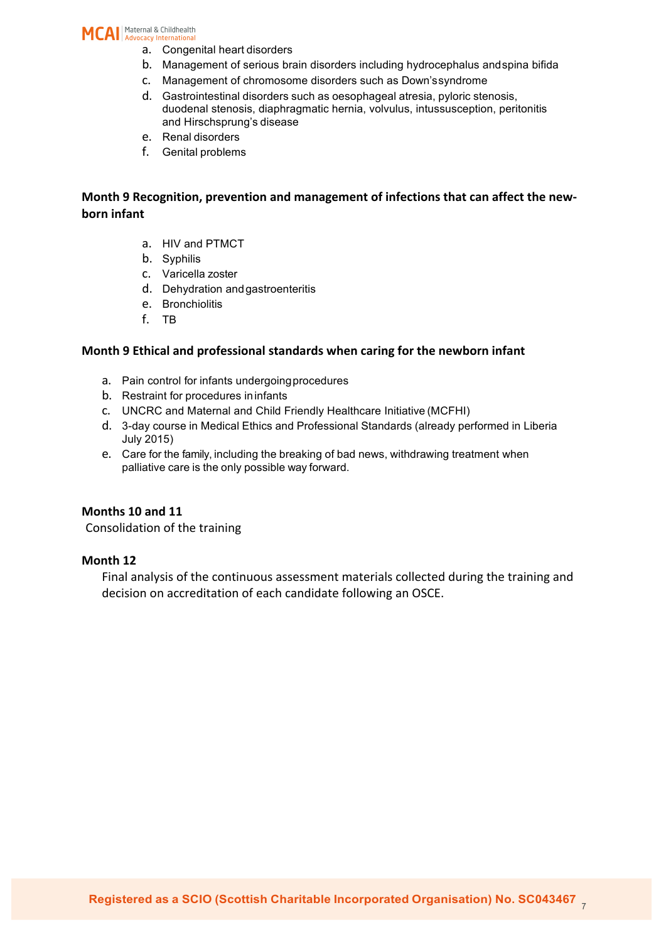MCAI | Maternal & Childhealth

- a. Congenital heart disorders
- b. Management of serious brain disorders including hydrocephalus andspina bifida
- c. Management of chromosome disorders such as Down'ssyndrome
- d. Gastrointestinal disorders such as oesophageal atresia, pyloric stenosis, duodenal stenosis, diaphragmatic hernia, volvulus, intussusception, peritonitis and Hirschsprung's disease
- e. Renal disorders
- f. Genital problems

#### **Month 9 Recognition, prevention and management of infections that can affect the newborn infant**

- a. HIV and PTMCT
- b. Syphilis
- c. Varicella zoster
- d. Dehydration andgastroenteritis
- e. Bronchiolitis
- f. TB

#### **Month 9 Ethical and professional standards when caring for the newborn infant**

- a. Pain control for infants undergoingprocedures
- b. Restraint for procedures ininfants
- c. UNCRC and Maternal and Child Friendly Healthcare Initiative (MCFHI)
- d. 3-day course in Medical Ethics and Professional Standards (already performed in Liberia July 2015)
- e. Care for the family, including the breaking of bad news, withdrawing treatment when palliative care is the only possible way forward.

#### **Months 10 and 11**

Consolidation of the training

#### **Month 12**

Final analysis of the continuous assessment materials collected during the training and decision on accreditation of each candidate following an OSCE.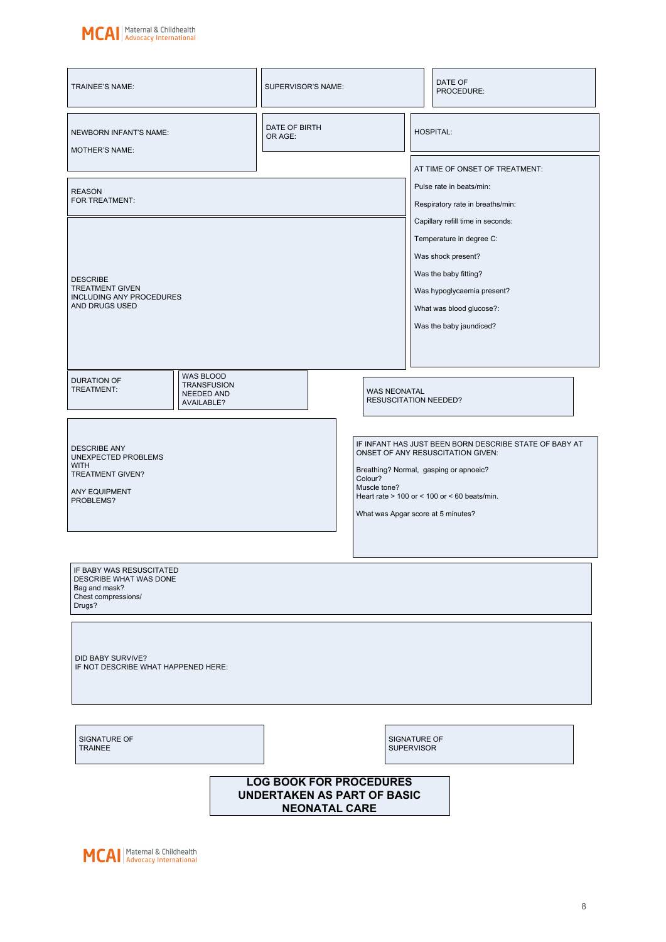

| TRAINEE'S NAME:                                                                                             | SUPERVISOR'S NAME:                                                                           |                                                               |  | DATE OF<br>PROCEDURE:                                                                                                                                                                       |  |  |
|-------------------------------------------------------------------------------------------------------------|----------------------------------------------------------------------------------------------|---------------------------------------------------------------|--|---------------------------------------------------------------------------------------------------------------------------------------------------------------------------------------------|--|--|
| NEWBORN INFANT'S NAME:<br><b>MOTHER'S NAME:</b>                                                             | DATE OF BIRTH<br>OR AGE:                                                                     |                                                               |  | <b>HOSPITAL:</b><br>AT TIME OF ONSET OF TREATMENT:                                                                                                                                          |  |  |
| <b>REASON</b><br>FOR TREATMENT:                                                                             |                                                                                              |                                                               |  | Pulse rate in beats/min:<br>Respiratory rate in breaths/min:<br>Capillary refill time in seconds:                                                                                           |  |  |
| <b>DESCRIBE</b><br><b>TREATMENT GIVEN</b><br><b>INCLUDING ANY PROCEDURES</b><br>AND DRUGS USED              |                                                                                              |                                                               |  | Temperature in degree C:<br>Was shock present?<br>Was the baby fitting?<br>Was hypoglycaemia present?<br>What was blood glucose?:<br>Was the baby jaundiced?                                |  |  |
| <b>WAS BLOOD</b><br>DURATION OF<br><b>TRANSFUSION</b><br>TREATMENT:<br>NEEDED AND<br>AVAILABLE?             |                                                                                              | <b>WAS NEONATAL</b><br><b>RESUSCITATION NEEDED?</b>           |  |                                                                                                                                                                                             |  |  |
| <b>DESCRIBE ANY</b><br>UNEXPECTED PROBLEMS<br><b>WITH</b><br>TREATMENT GIVEN?<br>ANY EQUIPMENT<br>PROBLEMS? |                                                                                              | Colour?<br>Muscle tone?<br>What was Apgar score at 5 minutes? |  | IF INFANT HAS JUST BEEN BORN DESCRIBE STATE OF BABY AT<br>ONSET OF ANY RESUSCITATION GIVEN:<br>Breathing? Normal, gasping or apnoeic?<br>Heart rate $> 100$ or $< 100$ or $< 60$ beats/min. |  |  |
| IF BABY WAS RESUSCITATED<br>DESCRIBE WHAT WAS DONE<br>Bag and mask?<br>Chest compressions/<br>Drugs?        |                                                                                              |                                                               |  |                                                                                                                                                                                             |  |  |
| DID BABY SURVIVE?<br>IF NOT DESCRIBE WHAT HAPPENED HERE:                                                    |                                                                                              |                                                               |  |                                                                                                                                                                                             |  |  |
| SIGNATURE OF<br><b>TRAINEE</b>                                                                              |                                                                                              | SIGNATURE OF<br><b>SUPERVISOR</b>                             |  |                                                                                                                                                                                             |  |  |
|                                                                                                             | <b>LOG BOOK FOR PROCEDURES</b><br><b>UNDERTAKEN AS PART OF BASIC</b><br><b>NEONATAL CARE</b> |                                                               |  |                                                                                                                                                                                             |  |  |

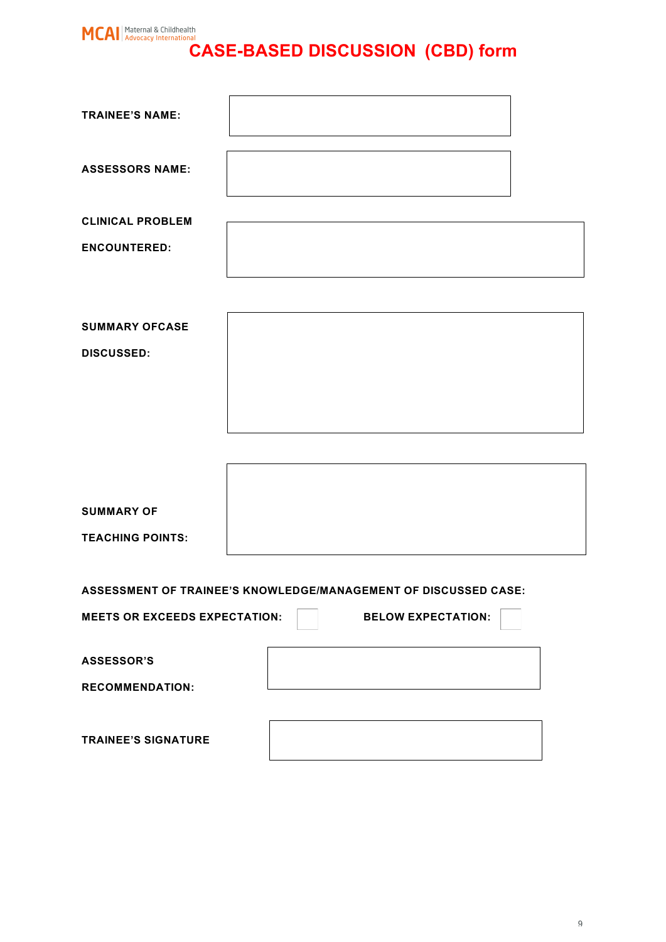# **CASE-BASED DISCUSSION (CBD)** form

| <b>TRAINEE'S NAME:</b>                                          |  |                           |  |
|-----------------------------------------------------------------|--|---------------------------|--|
| <b>ASSESSORS NAME:</b>                                          |  |                           |  |
| <b>CLINICAL PROBLEM</b>                                         |  |                           |  |
| <b>ENCOUNTERED:</b>                                             |  |                           |  |
|                                                                 |  |                           |  |
| <b>SUMMARY OFCASE</b>                                           |  |                           |  |
| <b>DISCUSSED:</b>                                               |  |                           |  |
|                                                                 |  |                           |  |
|                                                                 |  |                           |  |
|                                                                 |  |                           |  |
| <b>SUMMARY OF</b>                                               |  |                           |  |
| <b>TEACHING POINTS:</b>                                         |  |                           |  |
|                                                                 |  |                           |  |
| ASSESSMENT OF TRAINEE'S KNOWLEDGE/MANAGEMENT OF DISCUSSED CASE: |  |                           |  |
| <b>MEETS OR EXCEEDS EXPECTATION:</b>                            |  | <b>BELOW EXPECTATION:</b> |  |
| <b>ASSESSOR'S</b>                                               |  |                           |  |

**RECOMMENDATION:**

**TRAINEE'S SIGNATURE**

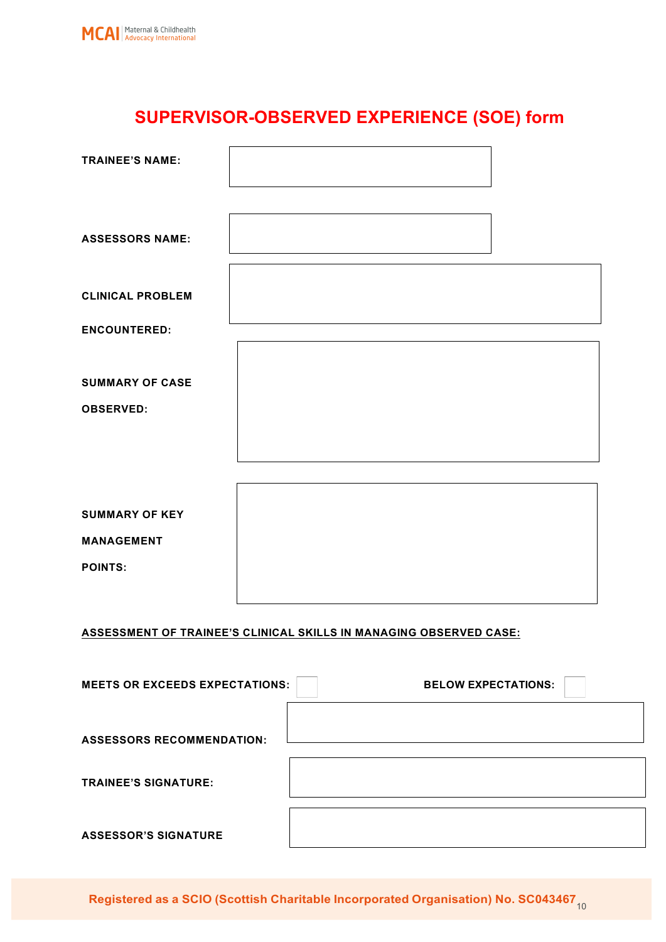

# **SUPERVISOR-OBSERVED EXPERIENCE (SOE) form**

| <b>TRAINEE'S NAME:</b>                |                                                                    |                            |
|---------------------------------------|--------------------------------------------------------------------|----------------------------|
| <b>ASSESSORS NAME:</b>                |                                                                    |                            |
| <b>CLINICAL PROBLEM</b>               |                                                                    |                            |
| <b>ENCOUNTERED:</b>                   |                                                                    |                            |
| <b>SUMMARY OF CASE</b>                |                                                                    |                            |
| <b>OBSERVED:</b>                      |                                                                    |                            |
|                                       |                                                                    |                            |
|                                       |                                                                    |                            |
|                                       |                                                                    |                            |
| <b>SUMMARY OF KEY</b>                 |                                                                    |                            |
| <b>MANAGEMENT</b>                     |                                                                    |                            |
| <b>POINTS:</b>                        |                                                                    |                            |
|                                       |                                                                    |                            |
|                                       | ASSESSMENT OF TRAINEE'S CLINICAL SKILLS IN MANAGING OBSERVED CASE: |                            |
| <b>MEETS OR EXCEEDS EXPECTATIONS:</b> |                                                                    | <b>BELOW EXPECTATIONS:</b> |
| <b>ASSESSORS RECOMMENDATION:</b>      |                                                                    |                            |
| <b>TRAINEE'S SIGNATURE:</b>           |                                                                    |                            |
| <b>ASSESSOR'S SIGNATURE</b>           |                                                                    |                            |

**Registered as a SCIO (Scottish Charitable Incorporated Organisation) No. SC043467<sub>10</sub>**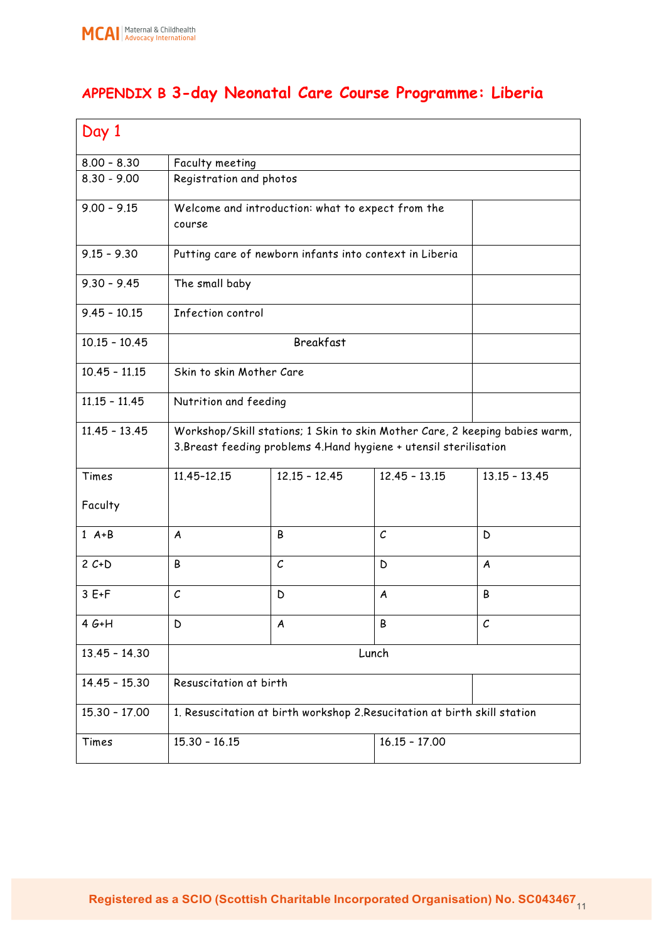# **APPENDIX B 3-day Neonatal Care Course Programme: Liberia**

| Day 1           |                                                                                                                                                   |                                                         |                   |                 |  |
|-----------------|---------------------------------------------------------------------------------------------------------------------------------------------------|---------------------------------------------------------|-------------------|-----------------|--|
| $8.00 - 8.30$   | Faculty meeting                                                                                                                                   |                                                         |                   |                 |  |
| $8.30 - 9.00$   | Registration and photos                                                                                                                           |                                                         |                   |                 |  |
| $9.00 - 9.15$   | course                                                                                                                                            | Welcome and introduction: what to expect from the       |                   |                 |  |
| $9.15 - 9.30$   |                                                                                                                                                   | Putting care of newborn infants into context in Liberia |                   |                 |  |
| $9.30 - 9.45$   | The small baby                                                                                                                                    |                                                         |                   |                 |  |
| $9.45 - 10.15$  | Infection control                                                                                                                                 |                                                         |                   |                 |  |
| $10.15 - 10.45$ |                                                                                                                                                   | <b>Breakfast</b>                                        |                   |                 |  |
| $10.45 - 11.15$ |                                                                                                                                                   | Skin to skin Mother Care                                |                   |                 |  |
| $11.15 - 11.45$ | Nutrition and feeding                                                                                                                             |                                                         |                   |                 |  |
| $11.45 - 13.45$ | Workshop/Skill stations; 1 Skin to skin Mother Care, 2 keeping babies warm,<br>3. Breast feeding problems 4. Hand hygiene + utensil sterilisation |                                                         |                   |                 |  |
| Times           | 11.45-12.15                                                                                                                                       | $12.15 - 12.45$                                         | $12.45 - 13.15$   | $13.15 - 13.45$ |  |
| Faculty         |                                                                                                                                                   |                                                         |                   |                 |  |
| $1 A+B$         | A                                                                                                                                                 | B                                                       | $\mathcal{C}_{0}$ | D               |  |
| $2 C + D$       | B                                                                                                                                                 | $\mathcal C$                                            | D                 | A               |  |
| $3E+F$          | $\mathcal{C}$                                                                                                                                     | D                                                       | A                 | B               |  |
| $4G+H$          | D                                                                                                                                                 | A                                                       | Β                 | С               |  |
| $13.45 - 14.30$ | Lunch                                                                                                                                             |                                                         |                   |                 |  |
| $14.45 - 15.30$ | Resuscitation at birth                                                                                                                            |                                                         |                   |                 |  |
| $15.30 - 17.00$ | 1. Resuscitation at birth workshop 2. Resucitation at birth skill station                                                                         |                                                         |                   |                 |  |
| Times           | $15.30 - 16.15$<br>$16.15 - 17.00$                                                                                                                |                                                         |                   |                 |  |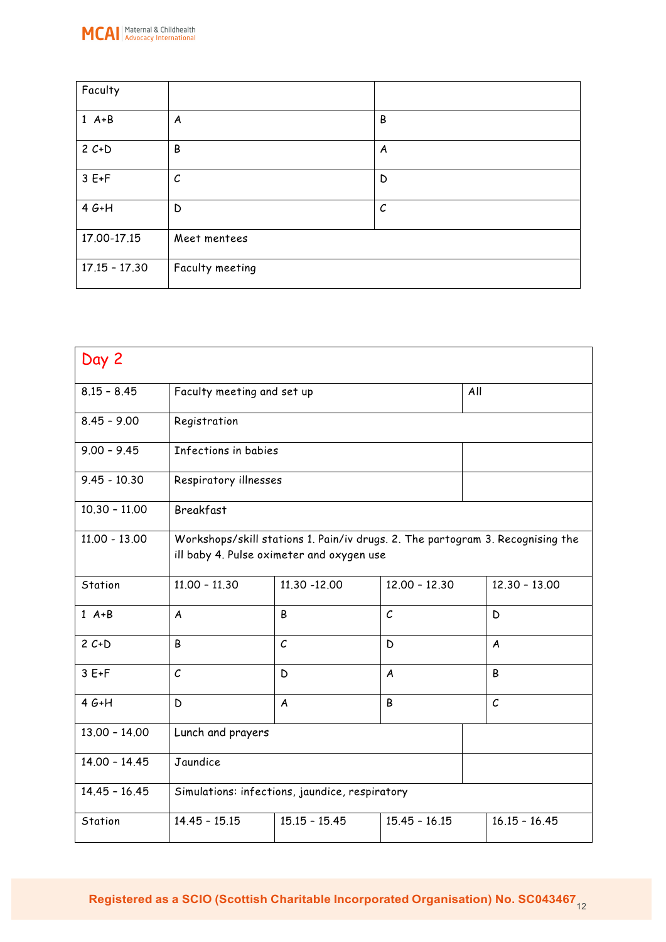

| Faculty         |                 |          |
|-----------------|-----------------|----------|
| $1 A+B$         | A               | B        |
| $2 C + D$       | B               | A        |
| $3E+F$          | $\cal C$        | D        |
| $4G+H$          | D               | $\cal C$ |
| 17.00-17.15     | Meet mentees    |          |
| $17.15 - 17.30$ | Faculty meeting |          |

| Day 2           |                                                                                                                             |                                   |                   |                  |  |
|-----------------|-----------------------------------------------------------------------------------------------------------------------------|-----------------------------------|-------------------|------------------|--|
| $8.15 - 8.45$   |                                                                                                                             | Faculty meeting and set up<br>All |                   |                  |  |
| $8.45 - 9.00$   | Registration                                                                                                                |                                   |                   |                  |  |
| $9.00 - 9.45$   | Infections in babies                                                                                                        |                                   |                   |                  |  |
| $9.45 - 10.30$  | Respiratory illnesses                                                                                                       |                                   |                   |                  |  |
| $10.30 - 11.00$ | <b>Breakfast</b>                                                                                                            |                                   |                   |                  |  |
| $11.00 - 13.00$ | Workshops/skill stations 1. Pain/iv drugs. 2. The partogram 3. Recognising the<br>ill baby 4. Pulse oximeter and oxygen use |                                   |                   |                  |  |
| Station         | $11.00 - 11.30$                                                                                                             | 11.30 -12.00                      | $12.00 - 12.30$   | $12.30 - 13.00$  |  |
| $1 A+B$         | A                                                                                                                           | B                                 | $\mathcal{C}_{0}$ | D                |  |
| $2 C + D$       | B                                                                                                                           | $\mathcal{C}$                     | D                 | $\boldsymbol{A}$ |  |
| $3E+F$          | $\mathcal{C}_{0}$                                                                                                           | D                                 | A                 | B                |  |
| $4G+H$          | D                                                                                                                           | A                                 | B                 | $\mathcal{C}$    |  |
| $13.00 - 14.00$ | Lunch and prayers                                                                                                           |                                   |                   |                  |  |
| $14.00 - 14.45$ | Jaundice                                                                                                                    |                                   |                   |                  |  |
| $14.45 - 16.45$ | Simulations: infections, jaundice, respiratory                                                                              |                                   |                   |                  |  |
| Station         | $14.45 - 15.15$<br>$15.15 - 15.45$<br>$15.45 - 16.15$<br>$16.15 - 16.45$                                                    |                                   |                   |                  |  |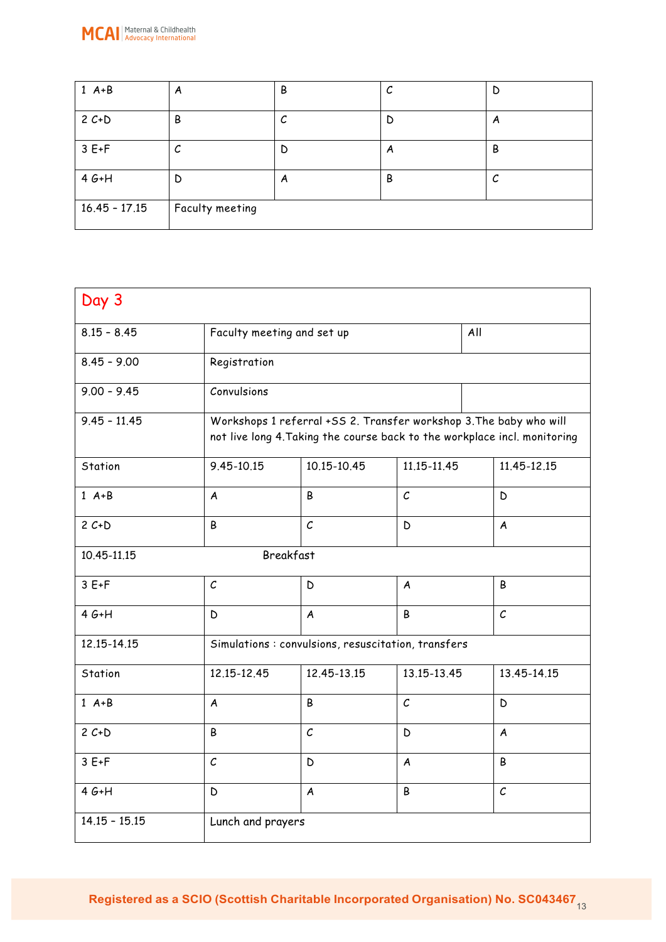

| $1 A+B$         | A               | В | С | D |
|-----------------|-----------------|---|---|---|
| $2 C + D$       | B               |   | D | A |
| $3E+F$          | J               | D | A | B |
| $4G+H$          | D               | A | B | С |
| $16.45 - 17.15$ | Faculty meeting |   |   |   |

| Day 3                           |                                                                                                                                                 |                  |                   |     |                  |
|---------------------------------|-------------------------------------------------------------------------------------------------------------------------------------------------|------------------|-------------------|-----|------------------|
| $8.15 - 8.45$                   | Faculty meeting and set up                                                                                                                      |                  |                   | All |                  |
| $8.45 - 9.00$                   | Registration                                                                                                                                    |                  |                   |     |                  |
| $9.00 - 9.45$                   | Convulsions                                                                                                                                     |                  |                   |     |                  |
| $9.45 - 11.45$                  | Workshops 1 referral +SS 2. Transfer workshop 3. The baby who will<br>not live long 4. Taking the course back to the workplace incl. monitoring |                  |                   |     |                  |
| Station                         | 9.45-10.15                                                                                                                                      | 10.15-10.45      | 11.15-11.45       |     | 11.45-12.15      |
| $1 A+B$                         | A                                                                                                                                               | B                | $\mathcal{C}_{0}$ |     | D                |
| $2 C + D$                       | B                                                                                                                                               | $\mathcal{C}$    | D                 |     | $\boldsymbol{A}$ |
| <b>Breakfast</b><br>10.45-11.15 |                                                                                                                                                 |                  |                   |     |                  |
| $3E+F$                          | $\mathcal{C}$                                                                                                                                   | D                | A                 |     | B                |
| $4G+H$                          | D                                                                                                                                               | $\boldsymbol{A}$ | B                 |     | $\mathcal{C}$    |
| 12.15-14.15                     | Simulations: convulsions, resuscitation, transfers                                                                                              |                  |                   |     |                  |
| Station                         | 12.15-12.45                                                                                                                                     | 12.45-13.15      | 13.15-13.45       |     | 13.45-14.15      |
| $1 A+B$                         | A                                                                                                                                               | B                | $\mathcal{C}$     |     | D                |
| $2 C+D$                         | B                                                                                                                                               | $\mathcal C$     | D                 |     | A                |
| $3E+F$                          | $\mathcal C$                                                                                                                                    | D                | $\boldsymbol{A}$  |     | B                |
| $4G+H$                          | $\mathsf D$                                                                                                                                     | $\boldsymbol{A}$ | B                 |     | $\mathcal{C}$    |
| $14.15 - 15.15$                 | Lunch and prayers                                                                                                                               |                  |                   |     |                  |